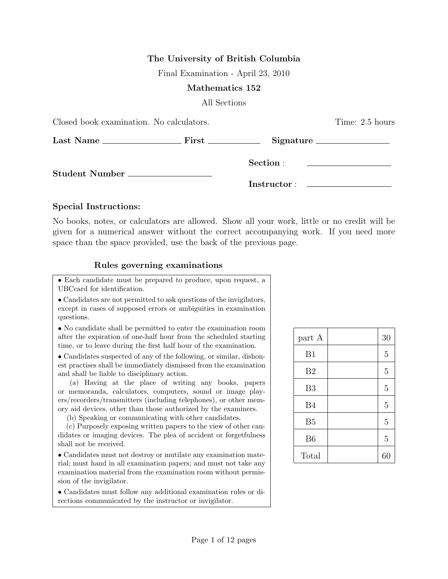# The University of British Columbia

Final Examination - April 23, 2010

#### Mathematics 152

All Sections

| Closed book examination. No calculators. | Time: 2.5 hours |                                                                            |  |
|------------------------------------------|-----------------|----------------------------------------------------------------------------|--|
|                                          |                 |                                                                            |  |
| Student Number __________________        | Section :       | the control of the control of the control of the control of the control of |  |
|                                          |                 |                                                                            |  |

#### Special Instructions:

No books, notes, or calculators are allowed. Show all your work, little or no credit will be given for a numerical answer without the correct accompanying work. If you need more space than the space provided, use the back of the previous page.

### Rules governing examinations

• Each candidate must be prepared to produce, upon request, a UBCcard for identification.

• Candidates are not permitted to ask questions of the invigilators, except in cases of supposed errors or ambiguities in examination questions.

• No candidate shall be permitted to enter the examination room after the expiration of one-half hour from the scheduled starting time, or to leave during the first half hour of the examination.

• Candidates suspected of any of the following, or similar, dishonest practises shall be immediately dismissed from the examination and shall be liable to disciplinary action.

(a) Having at the place of writing any books, papers or memoranda, calculators, computers, sound or image players/recorders/transmitters (including telephones), or other memory aid devices, other than those authorized by the examiners.

(b) Speaking or communicating with other candidates.

(c) Purposely exposing written papers to the view of other candidates or imaging devices. The plea of accident or forgetfulness shall not be received.

• Candidates must not destroy or mutilate any examination material; must hand in all examination papers; and must not take any examination material from the examination room without permission of the invigilator.

• Candidates must follow any additional examination rules or directions communicated by the instructor or invigilator.

| part A         | 30             |
|----------------|----------------|
| B1             | 5              |
| B <sub>2</sub> | $\overline{5}$ |
| B <sub>3</sub> | $\overline{5}$ |
| <b>B4</b>      | $\overline{5}$ |
| B <sub>5</sub> | $\overline{5}$ |
| B <sub>6</sub> | $\overline{5}$ |
| Total          | 60             |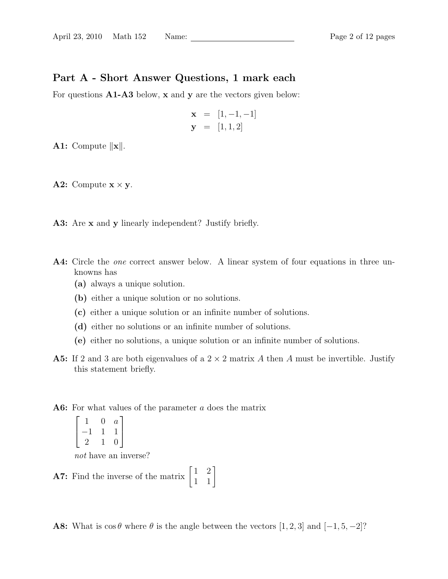# Part A - Short Answer Questions, 1 mark each

For questions **A1-A3** below, **x** and **y** are the vectors given below:

$$
\mathbf{x} = [1, -1, -1] \n\mathbf{y} = [1, 1, 2]
$$

A1: Compute  $\Vert \mathbf{x} \Vert$ .

**A2:** Compute  $x \times y$ .

- A3: Are x and y linearly independent? Justify briefly.
- A4: Circle the *one* correct answer below. A linear system of four equations in three unknowns has
	- (a) always a unique solution.
	- (b) either a unique solution or no solutions.
	- (c) either a unique solution or an infinite number of solutions.
	- (d) either no solutions or an infinite number of solutions.
	- (e) either no solutions, a unique solution or an infinite number of solutions.
- **A5:** If 2 and 3 are both eigenvalues of a  $2 \times 2$  matrix A then A must be invertible. Justify this statement briefly.
- A6: For what values of the parameter a does the matrix

$$
\begin{bmatrix} 1 & 0 & a \\ -1 & 1 & 1 \\ 2 & 1 & 0 \end{bmatrix}
$$

not have an inverse?

**A7:** Find the inverse of the matrix  $\begin{bmatrix} 1 & 2 \\ 1 & 1 \end{bmatrix}$ 

A8: What is  $\cos \theta$  where  $\theta$  is the angle between the vectors [1, 2, 3] and [-1, 5, -2]?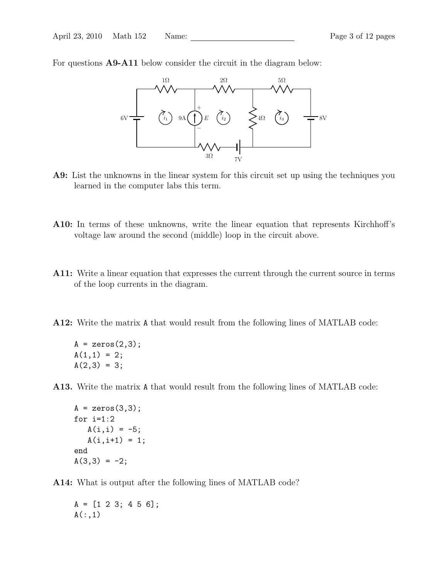For questions A9-A11 below consider the circuit in the diagram below:



- A9: List the unknowns in the linear system for this circuit set up using the techniques you learned in the computer labs this term.
- A10: In terms of these unknowns, write the linear equation that represents Kirchhoff's voltage law around the second (middle) loop in the circuit above.
- A11: Write a linear equation that expresses the current through the current source in terms of the loop currents in the diagram.
- A12: Write the matrix A that would result from the following lines of MATLAB code:

 $A = zeros(2,3);$  $A(1,1) = 2;$  $A(2,3) = 3;$ 

A13. Write the matrix A that would result from the following lines of MATLAB code:

```
A = zeros(3,3);for i=1:2A(i,i) = -5;A(i, i+1) = 1;end
A(3,3) = -2;
```
A14: What is output after the following lines of MATLAB code?

 $A = [1 \ 2 \ 3; 4 \ 5 \ 6];$  $A(:,1)$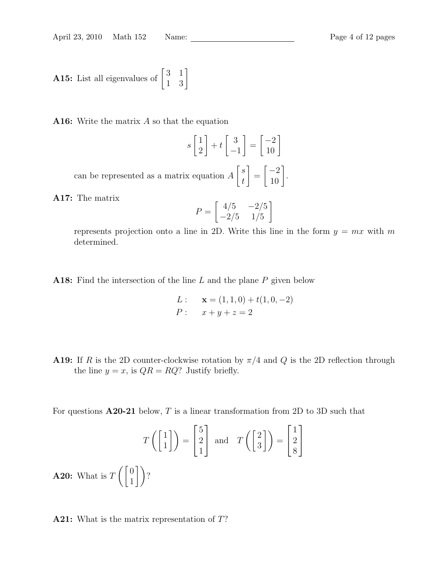**A15:** List all eigenvalues of 
$$
\begin{bmatrix} 3 & 1 \\ 1 & 3 \end{bmatrix}
$$

**A16:** Write the matrix  $\vec{A}$  so that the equation

$$
s\begin{bmatrix}1\\2\end{bmatrix} + t\begin{bmatrix}3\\-1\end{bmatrix} = \begin{bmatrix}-2\\10\end{bmatrix}
$$

can be represented as a matrix equation A  $\lceil s \rceil$ t 1 =  $\begin{bmatrix} -2 \\ 10 \end{bmatrix}$ .

A17: The matrix

$$
P = \begin{bmatrix} 4/5 & -2/5 \\ -2/5 & 1/5 \end{bmatrix}
$$

represents projection onto a line in 2D. Write this line in the form  $y = mx$  with m determined.

**A18:** Find the intersection of the line L and the plane  $P$  given below

L: 
$$
\mathbf{x} = (1, 1, 0) + t(1, 0, -2)
$$
  
P:  $x + y + z = 2$ 

**A19:** If R is the 2D counter-clockwise rotation by  $\pi/4$  and Q is the 2D reflection through the line  $y = x$ , is  $QR = RQ$ ? Justify briefly.

For questions  $A20-21$  below, T is a linear transformation from 2D to 3D such that

$$
T\left(\begin{bmatrix}1\\1\end{bmatrix}\right) = \begin{bmatrix}5\\2\\1\end{bmatrix} \text{ and } T\left(\begin{bmatrix}2\\3\end{bmatrix}\right) = \begin{bmatrix}1\\2\\8\end{bmatrix}
$$
  
**A20:** What is  $T\left(\begin{bmatrix}0\\1\end{bmatrix}\right)$ ?

A21: What is the matrix representation of T?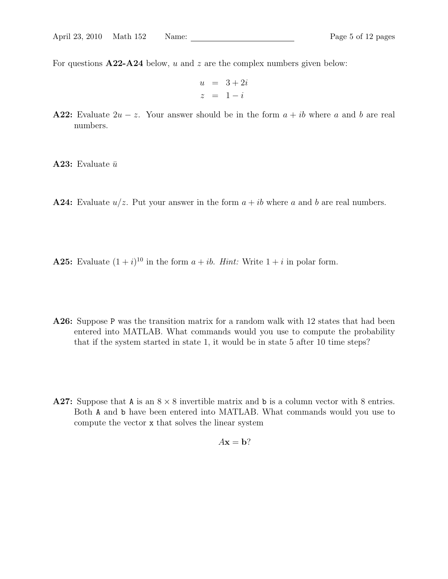For questions  $A22-A24$  below, u and z are the complex numbers given below:

$$
u = 3 + 2i
$$
  

$$
z = 1 - i
$$

**A22:** Evaluate  $2u - z$ . Your answer should be in the form  $a + ib$  where a and b are real numbers.

**A23:** Evaluate  $\bar{u}$ 

**A24:** Evaluate  $u/z$ . Put your answer in the form  $a + ib$  where a and b are real numbers.

**A25:** Evaluate  $(1 + i)^{10}$  in the form  $a + ib$ . *Hint:* Write  $1 + i$  in polar form.

- A26: Suppose P was the transition matrix for a random walk with 12 states that had been entered into MATLAB. What commands would you use to compute the probability that if the system started in state 1, it would be in state 5 after 10 time steps?
- A27: Suppose that A is an  $8 \times 8$  invertible matrix and b is a column vector with 8 entries. Both A and b have been entered into MATLAB. What commands would you use to compute the vector x that solves the linear system

$$
A\mathbf{x} = \mathbf{b}?
$$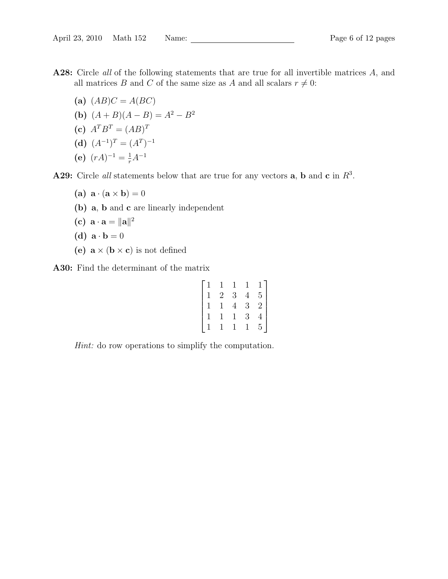- A28: Circle all of the following statements that are true for all invertible matrices A, and all matrices B and C of the same size as A and all scalars  $r \neq 0$ :
	- (a)  $(AB)C = A(BC)$
	- (b)  $(A + B)(A B) = A<sup>2</sup> B<sup>2</sup>$
	- (c)  $A^T B^T = (AB)^T$
	- (d)  $(A^{-1})^T = (A^T)^{-1}$
	- (e)  $(rA)^{-1} = \frac{1}{r}A^{-1}$

**A29:** Circle all statements below that are true for any vectors **a**, **b** and **c** in  $R^3$ .

- (a)  $\mathbf{a} \cdot (\mathbf{a} \times \mathbf{b}) = 0$
- (b) a, b and c are linearly independent
- (c)  $\mathbf{a} \cdot \mathbf{a} = ||\mathbf{a}||^2$

(d) 
$$
\mathbf{a} \cdot \mathbf{b} = 0
$$

(e)  $\mathbf{a} \times (\mathbf{b} \times \mathbf{c})$  is not defined

A30: Find the determinant of the matrix

|                                                       |                                       | $\frac{1}{3}$  | $\mathbf{1}$   |                                             |
|-------------------------------------------------------|---------------------------------------|----------------|----------------|---------------------------------------------|
|                                                       | $\frac{1}{2}$                         |                | $\frac{4}{3}$  |                                             |
| $\begin{pmatrix} 1 \\ 1 \\ 1 \\ 1 \\ 1 \end{pmatrix}$ | $\begin{array}{c} 1 \\ 1 \end{array}$ | $\overline{4}$ |                | $\begin{bmatrix} 1 \\ 5 \\ 2 \end{bmatrix}$ |
|                                                       |                                       | $\mathbf{1}$   | $\overline{3}$ | $\frac{4}{5}$                               |
|                                                       |                                       |                | $\mathbf{1}$   |                                             |

Hint: do row operations to simplify the computation.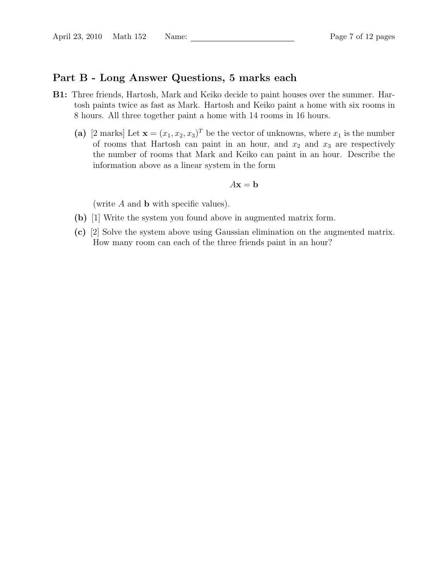## Part B - Long Answer Questions, 5 marks each

- B1: Three friends, Hartosh, Mark and Keiko decide to paint houses over the summer. Hartosh paints twice as fast as Mark. Hartosh and Keiko paint a home with six rooms in 8 hours. All three together paint a home with 14 rooms in 16 hours.
	- (a) [2 marks] Let  $\mathbf{x} = (x_1, x_2, x_3)^T$  be the vector of unknowns, where  $x_1$  is the number of rooms that Hartosh can paint in an hour, and  $x_2$  and  $x_3$  are respectively the number of rooms that Mark and Keiko can paint in an hour. Describe the information above as a linear system in the form

#### $A\mathbf{x} = \mathbf{b}$

(write  $A$  and  $b$  with specific values).

- (b) [1] Write the system you found above in augmented matrix form.
- (c) [2] Solve the system above using Gaussian elimination on the augmented matrix. How many room can each of the three friends paint in an hour?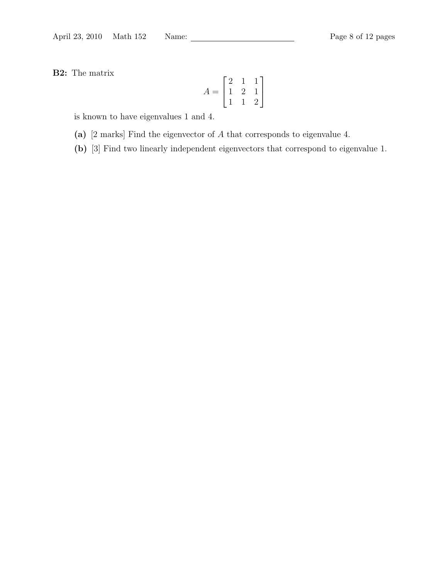B2: The matrix

$$
A = \begin{bmatrix} 2 & 1 & 1 \\ 1 & 2 & 1 \\ 1 & 1 & 2 \end{bmatrix}
$$

is known to have eigenvalues 1 and 4.

- (a) [2 marks] Find the eigenvector of A that corresponds to eigenvalue 4.
- (b) [3] Find two linearly independent eigenvectors that correspond to eigenvalue 1.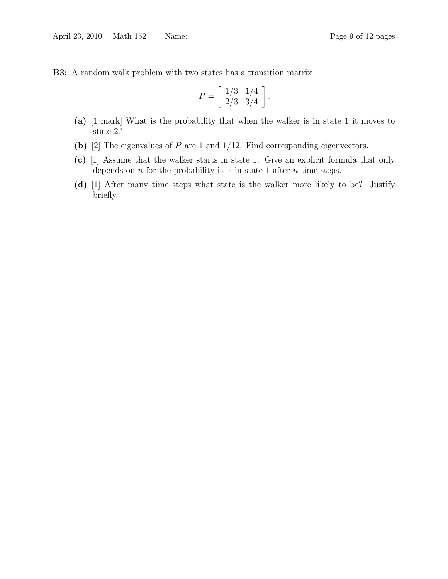B3: A random walk problem with two states has a transition matrix

$$
P = \left[ \begin{array}{cc} 1/3 & 1/4 \\ 2/3 & 3/4 \end{array} \right].
$$

- (a) [1 mark] What is the probability that when the walker is in state 1 it moves to state 2?
- (b) [2] The eigenvalues of  $P$  are 1 and 1/12. Find corresponding eigenvectors.
- (c) [1] Assume that the walker starts in state 1. Give an explicit formula that only depends on  $n$  for the probability it is in state 1 after  $n$  time steps.
- (d) [1] After many time steps what state is the walker more likely to be? Justify briefly.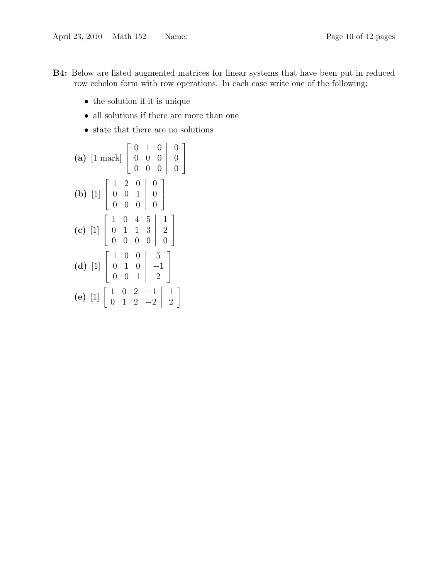- B4: Below are listed augmented matrices for linear systems that have been put in reduced row echelon form with row operations. In each case write one of the following:
	- $\bullet\,$  the solution if it is unique
	- $\bullet~$  all solutions if there are more than one
	- state that there are no solutions

(a) 
$$
\begin{bmatrix} 1 & \text{mark} \end{bmatrix} \begin{bmatrix} 0 & 1 & 0 & 0 \\ 0 & 0 & 0 & 0 \\ 0 & 0 & 0 & 0 \end{bmatrix} \begin{bmatrix} 0 \\ 0 \\ 0 \end{bmatrix}
$$
  
\n(b)  $\begin{bmatrix} 1 \end{bmatrix} \begin{bmatrix} 1 & 2 & 0 & 0 \\ 0 & 0 & 1 & 0 \\ 0 & 0 & 0 & 0 \end{bmatrix} \begin{bmatrix} 0 \\ 0 \\ 0 \end{bmatrix}$   
\n(c)  $\begin{bmatrix} 1 \end{bmatrix} \begin{bmatrix} 1 & 0 & 4 & 5 & 1 \\ 0 & 1 & 1 & 3 & 2 \\ 0 & 0 & 0 & 0 & 0 \end{bmatrix}$   
\n(d)  $\begin{bmatrix} 1 \end{bmatrix} \begin{bmatrix} 1 & 0 & 0 & 5 \\ 0 & 1 & 0 & -1 \\ 0 & 0 & 1 & 2 \end{bmatrix}$   
\n(e)  $\begin{bmatrix} 1 \end{bmatrix} \begin{bmatrix} 1 & 0 & 2 & -1 & 1 \\ 0 & 1 & 2 & -2 & 2 \end{bmatrix} \begin{bmatrix} 1 \\ 2 \end{bmatrix}$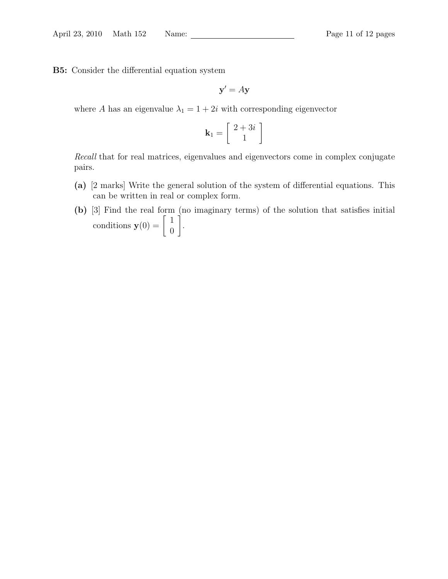B5: Consider the differential equation system

 $y' = Ay$ 

where A has an eigenvalue  $\lambda_1 = 1 + 2i$  with corresponding eigenvector

$$
\mathbf{k}_1 = \left[ \begin{array}{c} 2+3i \\ 1 \end{array} \right]
$$

Recall that for real matrices, eigenvalues and eigenvectors come in complex conjugate pairs.

- (a) [2 marks] Write the general solution of the system of differential equations. This can be written in real or complex form.
- (b) [3] Find the real form (no imaginary terms) of the solution that satisfies initial conditions  $\mathbf{y}(0) = \begin{bmatrix} 1 \\ 0 \end{bmatrix}$  $\overline{0}$ 1 .